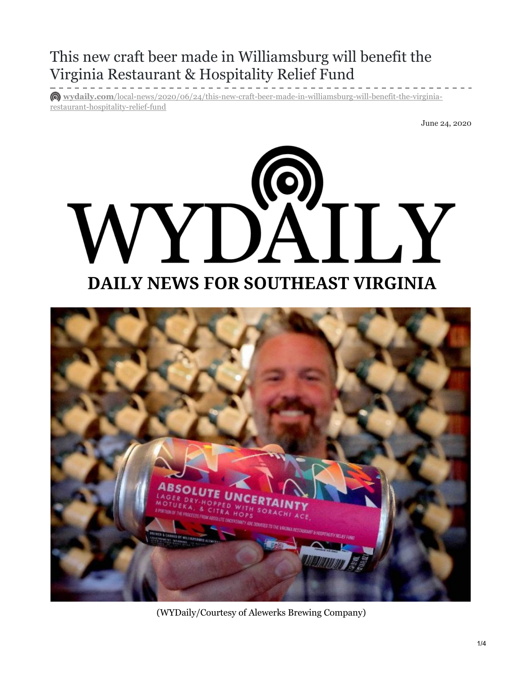## This new craft beer made in Williamsburg will benefit the Virginia Restaurant & Hospitality Relief Fund

**wydaily.com**[/local-news/2020/06/24/this-new-craft-beer-made-in-williamsburg-will-benefit-the-virginia](https://wydaily.com/local-news/2020/06/24/this-new-craft-beer-made-in-williamsburg-will-benefit-the-virginia-restaurant-hospitality-relief-fund/)restaurant-hospitality-relief-fund

June 24, 2020





(WYDaily/Courtesy of Alewerks Brewing Company)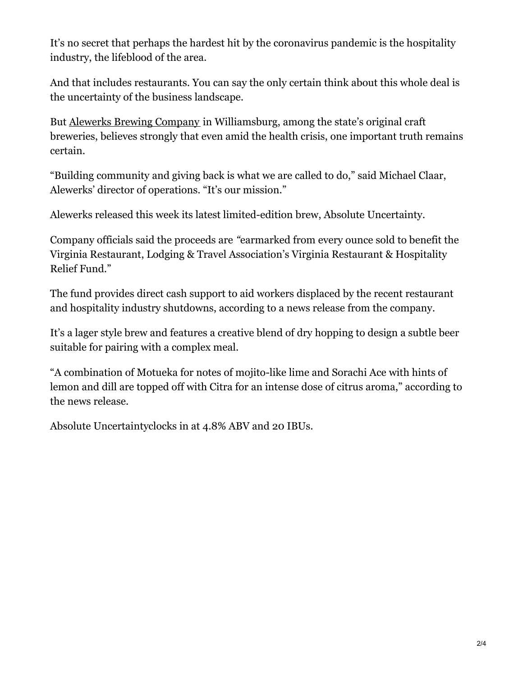It's no secret that perhaps the hardest hit by the coronavirus pandemic is the hospitality industry, the lifeblood of the area.

 And that includes restaurants. You can say the only certain think about this whole deal is the uncertainty of the business landscape.

But **Alewerks Brewing [Company](https://consociatemedia.us4.list-manage.com/track/click?u=2a61859f202b003a8aae02966&id=dd86c7df29&e=7ad442991a)** in Williamsburg, among the state's original craft breweries, believes strongly that even amid the health crisis, one important truth remains certain.

 "Building community and giving back is what we are called to do," said Michael Claar, Alewerks' director of operations. "It's our mission."

Alewerks released this week its latest limited-edition brew, Absolute Uncertainty.

 Company officials said the proceeds are *"*earmarked from every ounce sold to benefit the Virginia Restaurant, Lodging & Travel Association's Virginia Restaurant & Hospitality Relief Fund."

 The fund provides direct cash support to aid workers displaced by the recent restaurant and hospitality industry shutdowns, according to a news release from the company.

 It's a lager style brew and features a creative blend of dry hopping to design a subtle beer suitable for pairing with a complex meal.

 "A combination of Motueka for notes of mojito-like lime and Sorachi Ace with hints of lemon and dill are topped off with Citra for an intense dose of citrus aroma," according to the news release.

Absolute Uncertaintyclocks in at 4.8% ABV and 20 IBUs.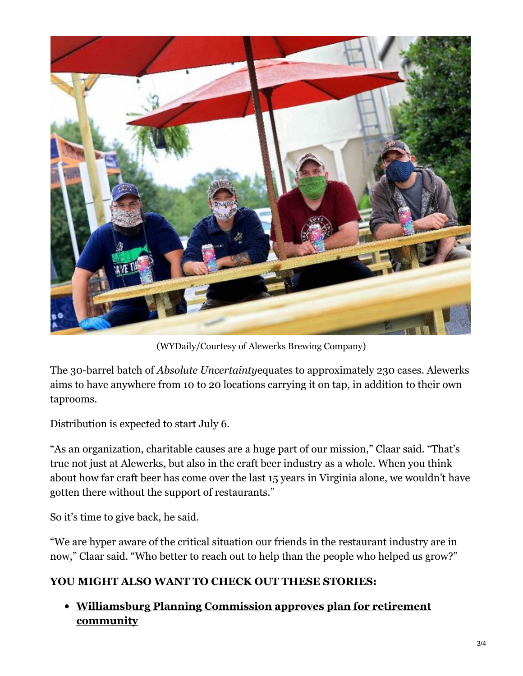

(WYDaily/Courtesy of Alewerks Brewing Company)

 The 30-barrel batch of *Absolute Uncertainty*equates to approximately 230 cases. Alewerks aims to have anywhere from 10 to 20 locations carrying it on tap, in addition to their own taprooms.

Distribution is expected to start July 6.

 "As an organization, charitable causes are a huge part of our mission," Claar said. "That's true not just at Alewerks, but also in the craft beer industry as a whole. When you think about how far craft beer has come over the last 15 years in Virginia alone, we wouldn't have gotten there without the support of restaurants."

So it's time to give back, he said.

 "We are hyper aware of the critical situation our friends in the restaurant industry are in now," Claar said. "Who better to reach out to help than the people who helped us grow?"

## **YOU MIGHT ALSO WANT TO CHECK OUT THESE STORIES:**

## **[Williamsburg](https://wydaily.com/local-news/2020/06/19/williamsburg-planning-commission-approves-plan-for-retirement-community/) Planning Commission approves plan for retirement community**